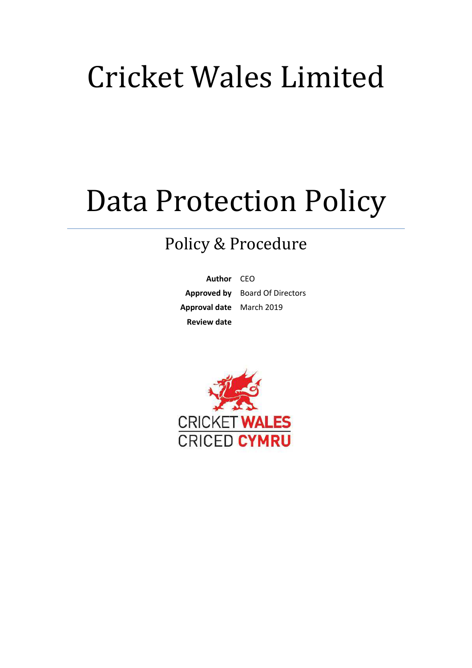# Cricket Wales Limited

# Data Protection Policy

# Policy & Procedure

**Author** CEO **Approved by** Board Of Directors **Approval date** March 2019 **Review date** 

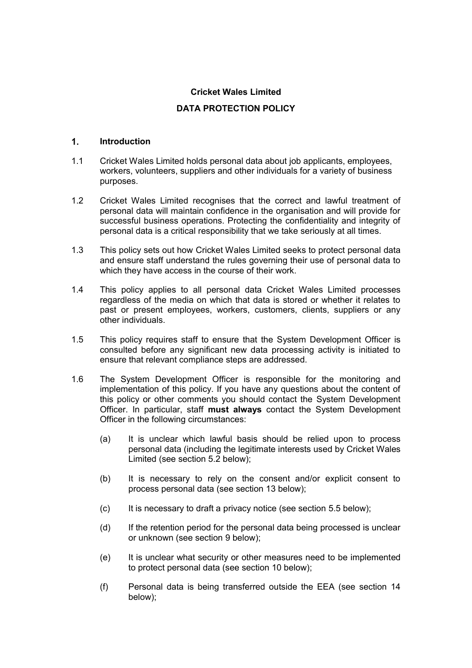# **Cricket Wales Limited**

# **DATA PROTECTION POLICY**

#### **Introduction**

- 1.1 Cricket Wales Limited holds personal data about job applicants, employees, workers, volunteers, suppliers and other individuals for a variety of business purposes.
- 1.2 Cricket Wales Limited recognises that the correct and lawful treatment of personal data will maintain confidence in the organisation and will provide for successful business operations. Protecting the confidentiality and integrity of personal data is a critical responsibility that we take seriously at all times.
- 1.3 This policy sets out how Cricket Wales Limited seeks to protect personal data and ensure staff understand the rules governing their use of personal data to which they have access in the course of their work.
- 1.4 This policy applies to all personal data Cricket Wales Limited processes regardless of the media on which that data is stored or whether it relates to past or present employees, workers, customers, clients, suppliers or any other individuals.
- 1.5 This policy requires staff to ensure that the System Development Officer is consulted before any significant new data processing activity is initiated to ensure that relevant compliance steps are addressed.
- 1.6 The System Development Officer is responsible for the monitoring and implementation of this policy. If you have any questions about the content of this policy or other comments you should contact the System Development Officer. In particular, staff **must always** contact the System Development Officer in the following circumstances:
	- (a) It is unclear which lawful basis should be relied upon to process personal data (including the legitimate interests used by Cricket Wales Limited (see section 5.2 below);
	- (b) It is necessary to rely on the consent and/or explicit consent to process personal data (see section 13 below);
	- (c) It is necessary to draft a privacy notice (see section 5.5 below);
	- (d) If the retention period for the personal data being processed is unclear or unknown (see section 9 below);
	- (e) It is unclear what security or other measures need to be implemented to protect personal data (see section 10 below);
	- (f) Personal data is being transferred outside the EEA (see section 14 below);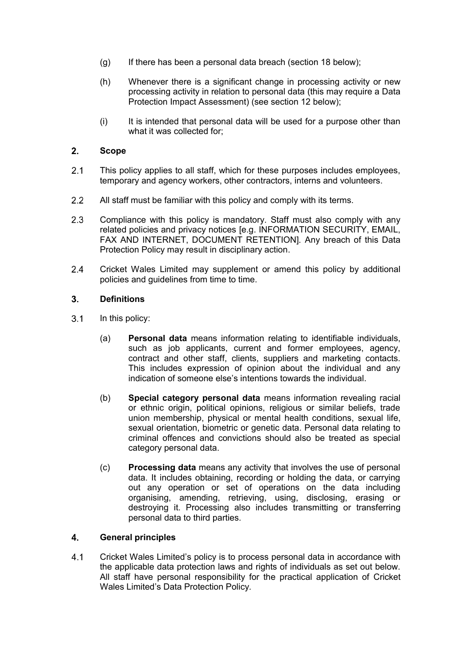- (g) If there has been a personal data breach (section 18 below);
- (h) Whenever there is a significant change in processing activity or new processing activity in relation to personal data (this may require a Data Protection Impact Assessment) (see section 12 below);
- (i) It is intended that personal data will be used for a purpose other than what it was collected for:

# **Scope**

- 2.1 This policy applies to all staff, which for these purposes includes employees, temporary and agency workers, other contractors, interns and volunteers.
- 2.2 All staff must be familiar with this policy and comply with its terms.
- 2.3 Compliance with this policy is mandatory. Staff must also comply with any related policies and privacy notices [e.g. INFORMATION SECURITY, EMAIL, FAX AND INTERNET, DOCUMENT RETENTION]. Any breach of this Data Protection Policy may result in disciplinary action.
- 2.4 Cricket Wales Limited may supplement or amend this policy by additional policies and guidelines from time to time.

#### **Definitions**

- 3.1 In this policy:
	- (a) **Personal data** means information relating to identifiable individuals, such as job applicants, current and former employees, agency, contract and other staff, clients, suppliers and marketing contacts. This includes expression of opinion about the individual and any indication of someone else's intentions towards the individual.
	- (b) **Special category personal data** means information revealing racial or ethnic origin, political opinions, religious or similar beliefs, trade union membership, physical or mental health conditions, sexual life, sexual orientation, biometric or genetic data. Personal data relating to criminal offences and convictions should also be treated as special category personal data.
	- (c) **Processing data** means any activity that involves the use of personal data. It includes obtaining, recording or holding the data, or carrying out any operation or set of operations on the data including organising, amending, retrieving, using, disclosing, erasing or destroying it. Processing also includes transmitting or transferring personal data to third parties.

#### **General principles**

 Cricket Wales Limited's policy is to process personal data in accordance with the applicable data protection laws and rights of individuals as set out below. All staff have personal responsibility for the practical application of Cricket Wales Limited's Data Protection Policy*.*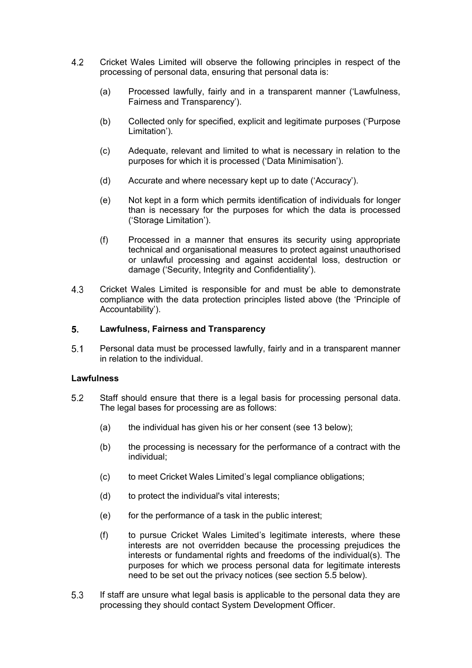- Cricket Wales Limited will observe the following principles in respect of the processing of personal data, ensuring that personal data is:
	- (a) Processed lawfully, fairly and in a transparent manner ('Lawfulness, Fairness and Transparency').
	- (b) Collected only for specified, explicit and legitimate purposes ('Purpose Limitation').
	- (c) Adequate, relevant and limited to what is necessary in relation to the purposes for which it is processed ('Data Minimisation').
	- (d) Accurate and where necessary kept up to date ('Accuracy').
	- (e) Not kept in a form which permits identification of individuals for longer than is necessary for the purposes for which the data is processed ('Storage Limitation').
	- (f) Processed in a manner that ensures its security using appropriate technical and organisational measures to protect against unauthorised or unlawful processing and against accidental loss, destruction or damage ('Security, Integrity and Confidentiality').
- Cricket Wales Limited is responsible for and must be able to demonstrate compliance with the data protection principles listed above (the 'Principle of Accountability').

## **Lawfulness, Fairness and Transparency**

 Personal data must be processed lawfully, fairly and in a transparent manner in relation to the individual.

#### **Lawfulness**

- Staff should ensure that there is a legal basis for processing personal data. The legal bases for processing are as follows:
	- (a) the individual has given his or her consent (see 13 below);
	- (b) the processing is necessary for the performance of a contract with the individual;
	- (c) to meet Cricket Wales Limited's legal compliance obligations;
	- (d) to protect the individual's vital interests;
	- (e) for the performance of a task in the public interest;
	- (f) to pursue Cricket Wales Limited's legitimate interests, where these interests are not overridden because the processing prejudices the interests or fundamental rights and freedoms of the individual(s). The purposes for which we process personal data for legitimate interests need to be set out the privacy notices (see section 5.5 below).
- If staff are unsure what legal basis is applicable to the personal data they are processing they should contact System Development Officer.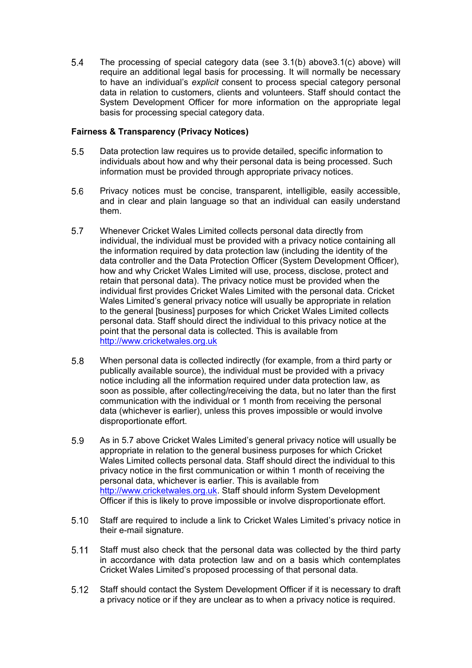The processing of special category data (see 3.1(b) above3.1(c) above) will require an additional legal basis for processing. It will normally be necessary to have an individual's *explicit* consent to process special category personal data in relation to customers, clients and volunteers. Staff should contact the System Development Officer for more information on the appropriate legal basis for processing special category data.

# **Fairness & Transparency (Privacy Notices)**

- Data protection law requires us to provide detailed, specific information to individuals about how and why their personal data is being processed. Such information must be provided through appropriate privacy notices.
- Privacy notices must be concise, transparent, intelligible, easily accessible, and in clear and plain language so that an individual can easily understand them.
- Whenever Cricket Wales Limited collects personal data directly from individual, the individual must be provided with a privacy notice containing all the information required by data protection law (including the identity of the data controller and the Data Protection Officer (System Development Officer), how and why Cricket Wales Limited will use, process, disclose, protect and retain that personal data). The privacy notice must be provided when the individual first provides Cricket Wales Limited with the personal data. Cricket Wales Limited's general privacy notice will usually be appropriate in relation to the general [business] purposes for which Cricket Wales Limited collects personal data. Staff should direct the individual to this privacy notice at the point that the personal data is collected. This is available from http://www.cricketwales.org.uk
- When personal data is collected indirectly (for example, from a third party or publically available source), the individual must be provided with a privacy notice including all the information required under data protection law, as soon as possible, after collecting/receiving the data, but no later than the first communication with the individual or 1 month from receiving the personal data (whichever is earlier), unless this proves impossible or would involve disproportionate effort.
- As in 5.7 above Cricket Wales Limited's general privacy notice will usually be appropriate in relation to the general business purposes for which Cricket Wales Limited collects personal data. Staff should direct the individual to this privacy notice in the first communication or within 1 month of receiving the personal data, whichever is earlier. This is available from http://www.cricketwales.org.uk. Staff should inform System Development Officer if this is likely to prove impossible or involve disproportionate effort.
- Staff are required to include a link to Cricket Wales Limited's privacy notice in their e-mail signature.
- Staff must also check that the personal data was collected by the third party in accordance with data protection law and on a basis which contemplates Cricket Wales Limited's proposed processing of that personal data.
- Staff should contact the System Development Officer if it is necessary to draft a privacy notice or if they are unclear as to when a privacy notice is required.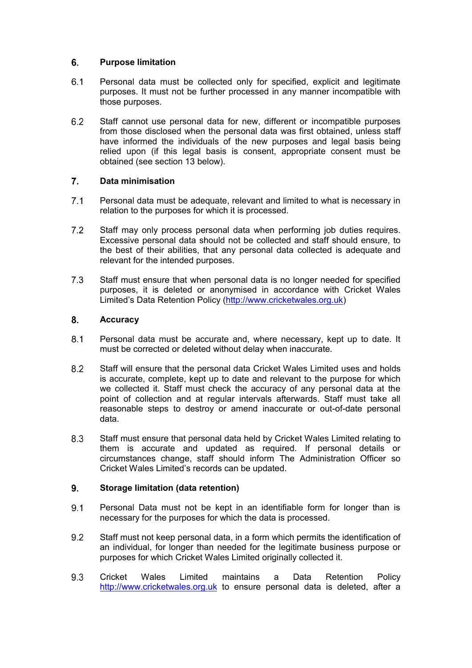# **Purpose limitation**

- Personal data must be collected only for specified, explicit and legitimate purposes. It must not be further processed in any manner incompatible with those purposes.
- Staff cannot use personal data for new, different or incompatible purposes from those disclosed when the personal data was first obtained, unless staff have informed the individuals of the new purposes and legal basis being relied upon (if this legal basis is consent, appropriate consent must be obtained (see section 13 below).

# **Data minimisation**

- Personal data must be adequate, relevant and limited to what is necessary in relation to the purposes for which it is processed.
- 7.2 Staff may only process personal data when performing job duties requires. Excessive personal data should not be collected and staff should ensure, to the best of their abilities, that any personal data collected is adequate and relevant for the intended purposes.
- 7.3 Staff must ensure that when personal data is no longer needed for specified purposes, it is deleted or anonymised in accordance with Cricket Wales Limited's Data Retention Policy (http://www.cricketwales.org.uk)

# **Accuracy**

- Personal data must be accurate and, where necessary, kept up to date. It must be corrected or deleted without delay when inaccurate.
- Staff will ensure that the personal data Cricket Wales Limited uses and holds is accurate, complete, kept up to date and relevant to the purpose for which we collected it. Staff must check the accuracy of any personal data at the point of collection and at regular intervals afterwards. Staff must take all reasonable steps to destroy or amend inaccurate or out-of-date personal data.
- Staff must ensure that personal data held by Cricket Wales Limited relating to them is accurate and updated as required. If personal details or circumstances change, staff should inform The Administration Officer so Cricket Wales Limited's records can be updated.

# **Storage limitation (data retention)**

- 9.1 Personal Data must not be kept in an identifiable form for longer than is necessary for the purposes for which the data is processed.
- Staff must not keep personal data, in a form which permits the identification of an individual, for longer than needed for the legitimate business purpose or purposes for which Cricket Wales Limited originally collected it.
- 9.3 Cricket Wales Limited maintains a Data Retention Policy http://www.cricketwales.org.uk to ensure personal data is deleted, after a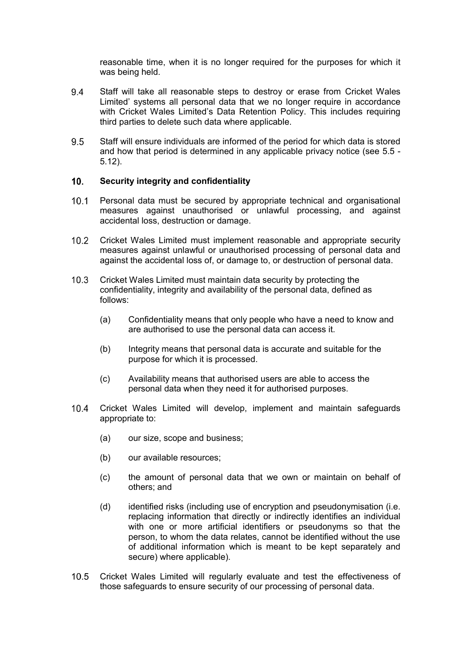reasonable time, when it is no longer required for the purposes for which it was being held.

- Staff will take all reasonable steps to destroy or erase from Cricket Wales Limited' systems all personal data that we no longer require in accordance with Cricket Wales Limited's Data Retention Policy. This includes requiring third parties to delete such data where applicable.
- Staff will ensure individuals are informed of the period for which data is stored and how that period is determined in any applicable privacy notice (see 5.5 - 5.12).

#### **Security integrity and confidentiality**

- 10.1 Personal data must be secured by appropriate technical and organisational measures against unauthorised or unlawful processing, and against accidental loss, destruction or damage.
- Cricket Wales Limited must implement reasonable and appropriate security measures against unlawful or unauthorised processing of personal data and against the accidental loss of, or damage to, or destruction of personal data.
- 10.3 Cricket Wales Limited must maintain data security by protecting the confidentiality, integrity and availability of the personal data, defined as follows:
	- (a) Confidentiality means that only people who have a need to know and are authorised to use the personal data can access it.
	- (b) Integrity means that personal data is accurate and suitable for the purpose for which it is processed.
	- (c) Availability means that authorised users are able to access the personal data when they need it for authorised purposes.
- Cricket Wales Limited will develop, implement and maintain safeguards appropriate to:
	- (a) our size, scope and business;
	- (b) our available resources;
	- (c) the amount of personal data that we own or maintain on behalf of others; and
	- (d) identified risks (including use of encryption and pseudonymisation (i.e. replacing information that directly or indirectly identifies an individual with one or more artificial identifiers or pseudonyms so that the person, to whom the data relates, cannot be identified without the use of additional information which is meant to be kept separately and secure) where applicable).
- 10.5 Cricket Wales Limited will regularly evaluate and test the effectiveness of those safeguards to ensure security of our processing of personal data.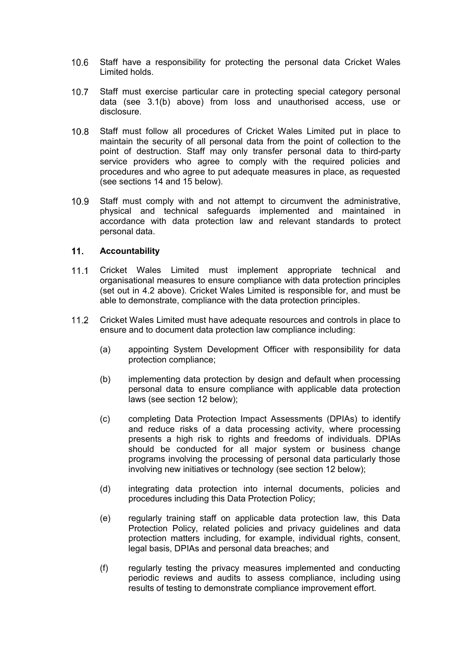- 10.6 Staff have a responsibility for protecting the personal data Cricket Wales Limited holds.
- 10.7 Staff must exercise particular care in protecting special category personal data (see 3.1(b) above) from loss and unauthorised access, use or disclosure.
- 10.8 Staff must follow all procedures of Cricket Wales Limited put in place to maintain the security of all personal data from the point of collection to the point of destruction. Staff may only transfer personal data to third-party service providers who agree to comply with the required policies and procedures and who agree to put adequate measures in place, as requested (see sections 14 and 15 below).
- 10.9 Staff must comply with and not attempt to circumvent the administrative, physical and technical safeguards implemented and maintained in accordance with data protection law and relevant standards to protect personal data.

#### **Accountability**

- 11.1 Cricket Wales Limited must implement appropriate technical and organisational measures to ensure compliance with data protection principles (set out in 4.2 above). Cricket Wales Limited is responsible for, and must be able to demonstrate, compliance with the data protection principles.
- 11.2 Cricket Wales Limited must have adequate resources and controls in place to ensure and to document data protection law compliance including:
	- (a) appointing System Development Officer with responsibility for data protection compliance;
	- (b) implementing data protection by design and default when processing personal data to ensure compliance with applicable data protection laws (see section 12 below);
	- (c) completing Data Protection Impact Assessments (DPIAs) to identify and reduce risks of a data processing activity, where processing presents a high risk to rights and freedoms of individuals. DPIAs should be conducted for all major system or business change programs involving the processing of personal data particularly those involving new initiatives or technology (see section 12 below);
	- (d) integrating data protection into internal documents, policies and procedures including this Data Protection Policy;
	- (e) regularly training staff on applicable data protection law, this Data Protection Policy, related policies and privacy guidelines and data protection matters including, for example, individual rights, consent, legal basis, DPIAs and personal data breaches; and
	- (f) regularly testing the privacy measures implemented and conducting periodic reviews and audits to assess compliance, including using results of testing to demonstrate compliance improvement effort.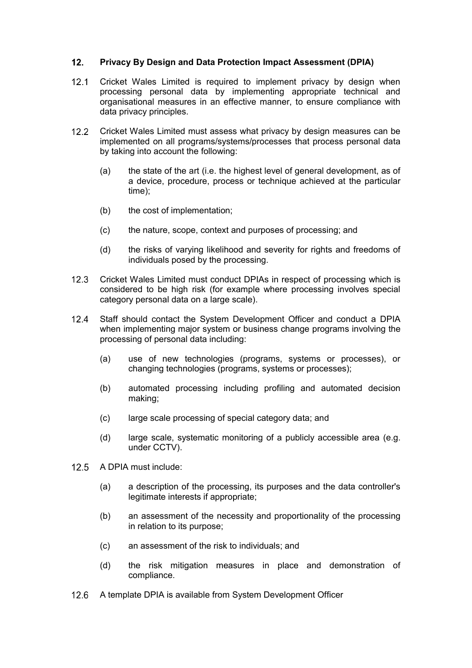# **Privacy By Design and Data Protection Impact Assessment (DPIA)**

- 12.1 Cricket Wales Limited is required to implement privacy by design when processing personal data by implementing appropriate technical and organisational measures in an effective manner, to ensure compliance with data privacy principles.
- 12.2 Cricket Wales Limited must assess what privacy by design measures can be implemented on all programs/systems/processes that process personal data by taking into account the following:
	- (a) the state of the art (i.e. the highest level of general development, as of a device, procedure, process or technique achieved at the particular time);
	- (b) the cost of implementation;
	- (c) the nature, scope, context and purposes of processing; and
	- (d) the risks of varying likelihood and severity for rights and freedoms of individuals posed by the processing.
- 12.3 Cricket Wales Limited must conduct DPIAs in respect of processing which is considered to be high risk (for example where processing involves special category personal data on a large scale).
- 12.4 Staff should contact the System Development Officer and conduct a DPIA when implementing major system or business change programs involving the processing of personal data including:
	- (a) use of new technologies (programs, systems or processes), or changing technologies (programs, systems or processes);
	- (b) automated processing including profiling and automated decision making;
	- (c) large scale processing of special category data; and
	- (d) large scale, systematic monitoring of a publicly accessible area (e.g. under CCTV).
- 12.5 A DPIA must include:
	- (a) a description of the processing, its purposes and the data controller's legitimate interests if appropriate;
	- (b) an assessment of the necessity and proportionality of the processing in relation to its purpose;
	- (c) an assessment of the risk to individuals; and
	- (d) the risk mitigation measures in place and demonstration of compliance.
- 12.6 A template DPIA is available from System Development Officer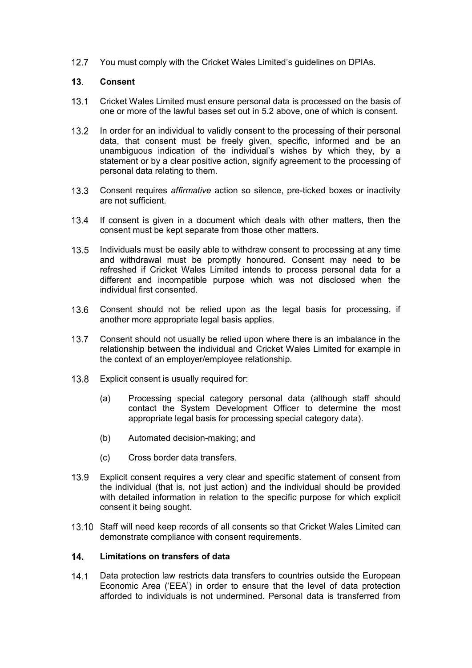12.7 You must comply with the Cricket Wales Limited's guidelines on DPIAs.

### **Consent**

- Cricket Wales Limited must ensure personal data is processed on the basis of one or more of the lawful bases set out in 5.2 above, one of which is consent.
- In order for an individual to validly consent to the processing of their personal data, that consent must be freely given, specific, informed and be an unambiguous indication of the individual's wishes by which they, by a statement or by a clear positive action, signify agreement to the processing of personal data relating to them.
- Consent requires *affirmative* action so silence, pre-ticked boxes or inactivity are not sufficient.
- If consent is given in a document which deals with other matters, then the consent must be kept separate from those other matters.
- Individuals must be easily able to withdraw consent to processing at any time and withdrawal must be promptly honoured. Consent may need to be refreshed if Cricket Wales Limited intends to process personal data for a different and incompatible purpose which was not disclosed when the individual first consented.
- 13.6 Consent should not be relied upon as the legal basis for processing, if another more appropriate legal basis applies.
- 13.7 Consent should not usually be relied upon where there is an imbalance in the relationship between the individual and Cricket Wales Limited for example in the context of an employer/employee relationship.
- 13.8 Explicit consent is usually required for:
	- (a) Processing special category personal data (although staff should contact the System Development Officer to determine the most appropriate legal basis for processing special category data).
	- (b) Automated decision-making; and
	- (c) Cross border data transfers.
- Explicit consent requires a very clear and specific statement of consent from the individual (that is, not just action) and the individual should be provided with detailed information in relation to the specific purpose for which explicit consent it being sought.
- 13.10 Staff will need keep records of all consents so that Cricket Wales Limited can demonstrate compliance with consent requirements.

# **Limitations on transfers of data**

14.1 Data protection law restricts data transfers to countries outside the European Economic Area ('EEA') in order to ensure that the level of data protection afforded to individuals is not undermined. Personal data is transferred from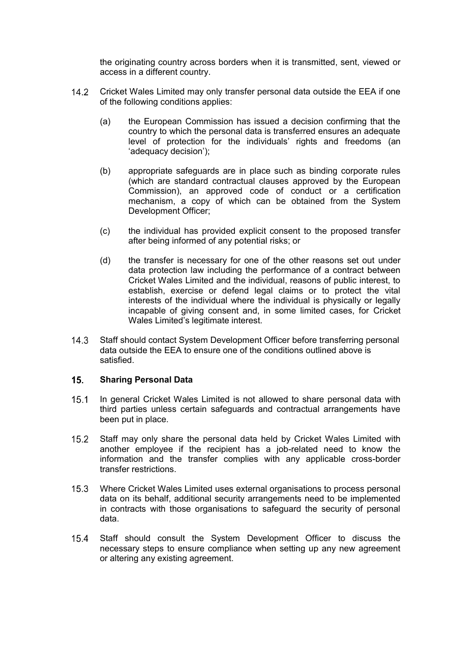the originating country across borders when it is transmitted, sent, viewed or access in a different country.

- Cricket Wales Limited may only transfer personal data outside the EEA if one of the following conditions applies:
	- (a) the European Commission has issued a decision confirming that the country to which the personal data is transferred ensures an adequate level of protection for the individuals' rights and freedoms (an 'adequacy decision');
	- (b) appropriate safeguards are in place such as binding corporate rules (which are standard contractual clauses approved by the European Commission), an approved code of conduct or a certification mechanism, a copy of which can be obtained from the System Development Officer;
	- (c) the individual has provided explicit consent to the proposed transfer after being informed of any potential risks; or
	- (d) the transfer is necessary for one of the other reasons set out under data protection law including the performance of a contract between Cricket Wales Limited and the individual, reasons of public interest, to establish, exercise or defend legal claims or to protect the vital interests of the individual where the individual is physically or legally incapable of giving consent and, in some limited cases, for Cricket Wales Limited's legitimate interest.
- 14.3 Staff should contact System Development Officer before transferring personal data outside the EEA to ensure one of the conditions outlined above is satisfied.

#### **Sharing Personal Data**

- 15.1 In general Cricket Wales Limited is not allowed to share personal data with third parties unless certain safeguards and contractual arrangements have been put in place.
- 15.2 Staff may only share the personal data held by Cricket Wales Limited with another employee if the recipient has a job-related need to know the information and the transfer complies with any applicable cross-border transfer restrictions.
- Where Cricket Wales Limited uses external organisations to process personal data on its behalf, additional security arrangements need to be implemented in contracts with those organisations to safeguard the security of personal data.
- 15.4 Staff should consult the System Development Officer to discuss the necessary steps to ensure compliance when setting up any new agreement or altering any existing agreement.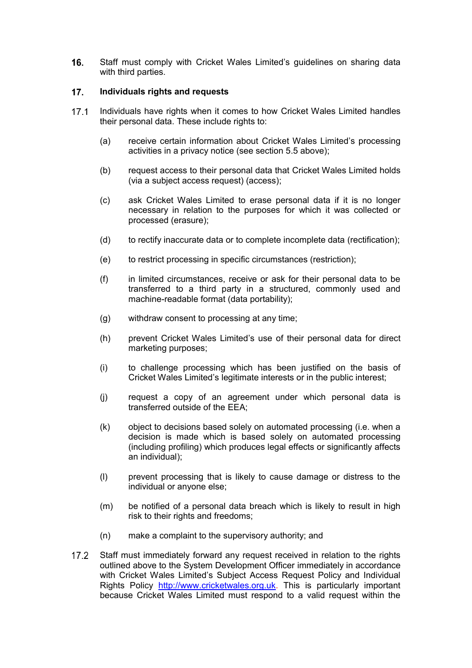16. Staff must comply with Cricket Wales Limited's guidelines on sharing data with third parties.

#### **Individuals rights and requests**

- Individuals have rights when it comes to how Cricket Wales Limited handles their personal data. These include rights to:
	- (a) receive certain information about Cricket Wales Limited's processing activities in a privacy notice (see section 5.5 above);
	- (b) request access to their personal data that Cricket Wales Limited holds (via a subject access request) (access);
	- (c) ask Cricket Wales Limited to erase personal data if it is no longer necessary in relation to the purposes for which it was collected or processed (erasure);
	- (d) to rectify inaccurate data or to complete incomplete data (rectification);
	- (e) to restrict processing in specific circumstances (restriction);
	- (f) in limited circumstances, receive or ask for their personal data to be transferred to a third party in a structured, commonly used and machine-readable format (data portability);
	- (g) withdraw consent to processing at any time;
	- (h) prevent Cricket Wales Limited's use of their personal data for direct marketing purposes;
	- (i) to challenge processing which has been justified on the basis of Cricket Wales Limited's legitimate interests or in the public interest;
	- (j) request a copy of an agreement under which personal data is transferred outside of the EEA;
	- (k) object to decisions based solely on automated processing (i.e. when a decision is made which is based solely on automated processing (including profiling) which produces legal effects or significantly affects an individual);
	- (l) prevent processing that is likely to cause damage or distress to the individual or anyone else;
	- (m) be notified of a personal data breach which is likely to result in high risk to their rights and freedoms;
	- (n) make a complaint to the supervisory authority; and
- 17.2 Staff must immediately forward any request received in relation to the rights outlined above to the System Development Officer immediately in accordance with Cricket Wales Limited's Subject Access Request Policy and Individual Rights Policy http://www.cricketwales.org.uk. This is particularly important because Cricket Wales Limited must respond to a valid request within the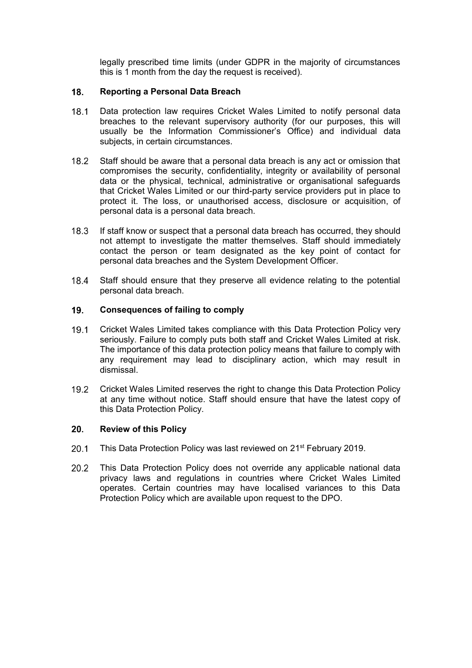legally prescribed time limits (under GDPR in the majority of circumstances this is 1 month from the day the request is received).

#### **Reporting a Personal Data Breach**

- 18.1 Data protection law requires Cricket Wales Limited to notify personal data breaches to the relevant supervisory authority (for our purposes, this will usually be the Information Commissioner's Office) and individual data subjects, in certain circumstances.
- 18.2 Staff should be aware that a personal data breach is any act or omission that compromises the security, confidentiality, integrity or availability of personal data or the physical, technical, administrative or organisational safeguards that Cricket Wales Limited or our third-party service providers put in place to protect it. The loss, or unauthorised access, disclosure or acquisition, of personal data is a personal data breach.
- If staff know or suspect that a personal data breach has occurred, they should not attempt to investigate the matter themselves. Staff should immediately contact the person or team designated as the key point of contact for personal data breaches and the System Development Officer.
- 18.4 Staff should ensure that they preserve all evidence relating to the potential personal data breach.

#### **Consequences of failing to comply**

- Cricket Wales Limited takes compliance with this Data Protection Policy very seriously. Failure to comply puts both staff and Cricket Wales Limited at risk. The importance of this data protection policy means that failure to comply with any requirement may lead to disciplinary action, which may result in dismissal.
- Cricket Wales Limited reserves the right to change this Data Protection Policy at any time without notice. Staff should ensure that have the latest copy of this Data Protection Policy.

#### **Review of this Policy**

- 20.1 This Data Protection Policy was last reviewed on 21<sup>st</sup> February 2019.
- 20.2 This Data Protection Policy does not override any applicable national data privacy laws and regulations in countries where Cricket Wales Limited operates. Certain countries may have localised variances to this Data Protection Policy which are available upon request to the DPO.